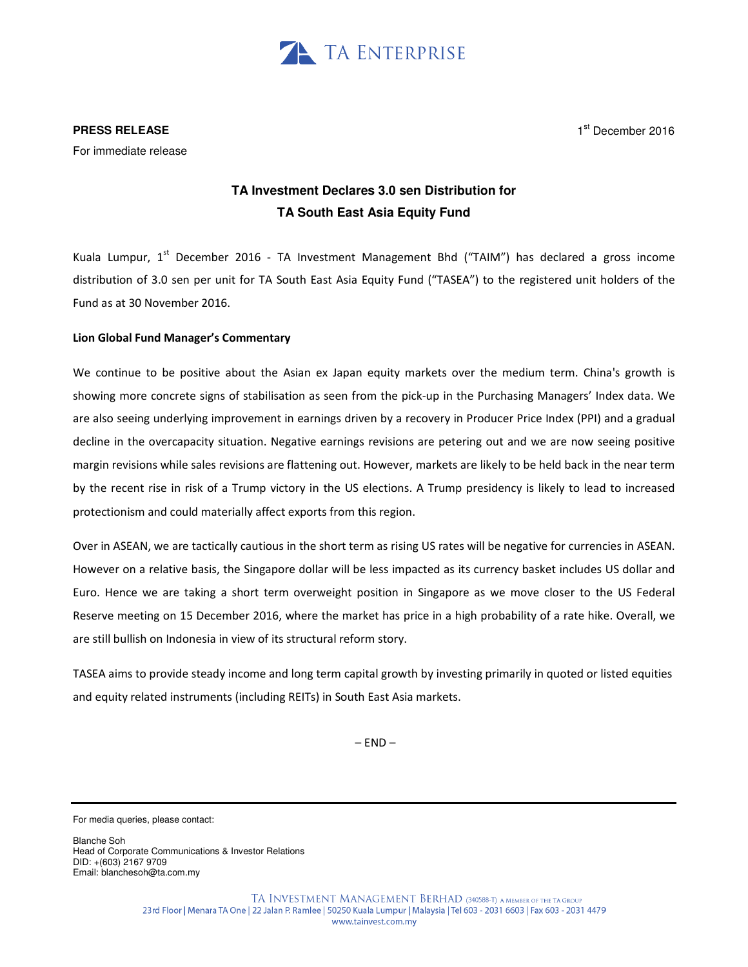

### **PRESS RELEASE**

1st December 2016

For immediate release

# **TA Investment Declares 3.0 sen Distribution for TA South East Asia Equity Fund**

Kuala Lumpur, 1<sup>st</sup> December 2016 - TA Investment Management Bhd ("TAIM") has declared a gross income distribution of 3.0 sen per unit for TA South East Asia Equity Fund ("TASEA") to the registered unit holders of the Fund as at 30 November 2016.

## Lion Global Fund Manager's Commentary

We continue to be positive about the Asian ex Japan equity markets over the medium term. China's growth is showing more concrete signs of stabilisation as seen from the pick-up in the Purchasing Managers' Index data. We are also seeing underlying improvement in earnings driven by a recovery in Producer Price Index (PPI) and a gradual decline in the overcapacity situation. Negative earnings revisions are petering out and we are now seeing positive margin revisions while sales revisions are flattening out. However, markets are likely to be held back in the near term by the recent rise in risk of a Trump victory in the US elections. A Trump presidency is likely to lead to increased protectionism and could materially affect exports from this region.

Over in ASEAN, we are tactically cautious in the short term as rising US rates will be negative for currencies in ASEAN. However on a relative basis, the Singapore dollar will be less impacted as its currency basket includes US dollar and Euro. Hence we are taking a short term overweight position in Singapore as we move closer to the US Federal Reserve meeting on 15 December 2016, where the market has price in a high probability of a rate hike. Overall, we are still bullish on Indonesia in view of its structural reform story.

TASEA aims to provide steady income and long term capital growth by investing primarily in quoted or listed equities and equity related instruments (including REITs) in South East Asia markets.

 $-$  END $-$ 

Blanche Soh Head of Corporate Communications & Investor Relations DID: +(603) 2167 9709 Email: blanchesoh@ta.com.my

For media queries, please contact: